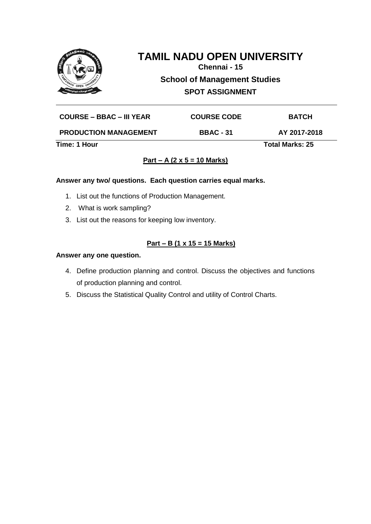

**Chennai - 15**

**School of Management Studies**

**SPOT ASSIGNMENT**

| Time: 1 Hour                    |                    | <b>Total Marks: 25</b> |  |
|---------------------------------|--------------------|------------------------|--|
| <b>PRODUCTION MANAGEMENT</b>    | <b>BBAC - 31</b>   | AY 2017-2018           |  |
| <b>COURSE – BBAC – III YEAR</b> | <b>COURSE CODE</b> | <b>BATCH</b>           |  |

# **Part – A (2 x 5 = 10 Marks)**

#### **Answer any two/ questions. Each question carries equal marks.**

- 1. List out the functions of Production Management.
- 2. What is work sampling?
- 3. List out the reasons for keeping low inventory.

# **Part – B (1 x 15 = 15 Marks)**

- 4. Define production planning and control. Discuss the objectives and functions of production planning and control.
- 5. Discuss the Statistical Quality Control and utility of Control Charts.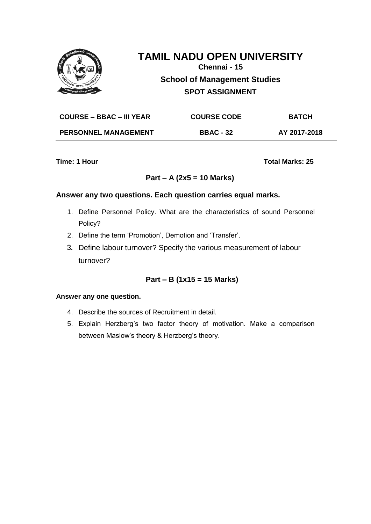

**Chennai - 15**

**School of Management Studies**

**SPOT ASSIGNMENT**

| <b>COURSE – BBAC – III YEAR</b> | <b>COURSE CODE</b> | <b>BATCH</b> |
|---------------------------------|--------------------|--------------|
| <b>PERSONNEL MANAGEMENT</b>     | <b>BBAC - 32</b>   | AY 2017-2018 |

**Time: 1 Hour Total Marks: 25** 

# **Part – A (2x5 = 10 Marks)**

## **Answer any two questions. Each question carries equal marks.**

- 1. Define Personnel Policy. What are the characteristics of sound Personnel Policy?
- 2. Define the term 'Promotion', Demotion and 'Transfer'.
- 3. Define labour turnover? Specify the various measurement of labour turnover?

# **Part – B (1x15 = 15 Marks)**

- 4. Describe the sources of Recruitment in detail.
- 5. Explain Herzberg's two factor theory of motivation. Make a comparison between Maslow's theory & Herzberg's theory.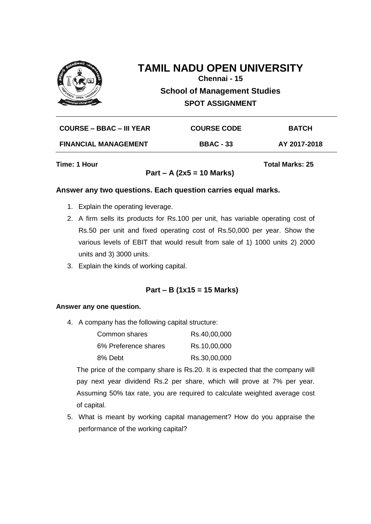

# **TAMIL NADU OPEN UNIVERSITY Chennai - 15**

**School of Management Studies**

**SPOT ASSIGNMENT**

| <b>COURSE – BBAC – III YEAR</b> | <b>COURSE CODE</b> | <b>BATCH</b> |
|---------------------------------|--------------------|--------------|
| <b>FINANCIAL MANAGEMENT</b>     | <b>BBAC - 33</b>   | AY 2017-2018 |
|                                 |                    |              |

**Part – A (2x5 = 10 Marks)**

**Time: 1 Hour Total Marks: 25**

#### **Answer any two questions. Each question carries equal marks.**

- 1. Explain the operating leverage.
- 2. A firm sells its products for Rs.100 per unit, has variable operating cost of Rs.50 per unit and fixed operating cost of Rs.50,000 per year. Show the various levels of EBIT that would result from sale of 1) 1000 units 2) 2000 units and 3) 3000 units.
- 3. Explain the kinds of working capital.

## **Part – B (1x15 = 15 Marks)**

#### **Answer any one question.**

4. A company has the following capital structure:

| Common shares        | Rs.40,00,000 |
|----------------------|--------------|
| 6% Preference shares | Rs.10,00,000 |
| 8% Debt              | Rs.30,00,000 |

The price of the company share is Rs.20. It is expected that the company will pay next year dividend Rs.2 per share, which will prove at 7% per year. Assuming 50% tax rate, you are required to calculate weighted average cost of capital.

5. What is meant by working capital management? How do you appraise the performance of the working capital?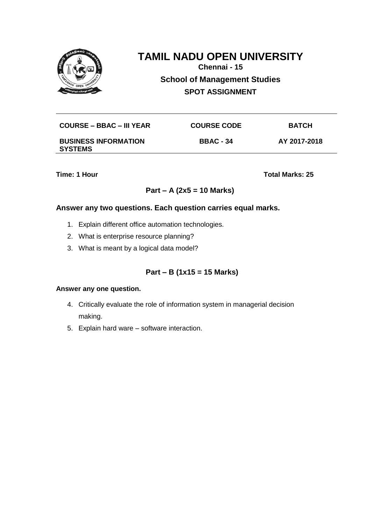

**Chennai - 15**

**School of Management Studies**

**SPOT ASSIGNMENT**

| <b>COURSE – BBAC – III YEAR</b>               | <b>COURSE CODE</b> | <b>BATCH</b> |
|-----------------------------------------------|--------------------|--------------|
| <b>BUSINESS INFORMATION</b><br><b>SYSTEMS</b> | <b>BBAC - 34</b>   | AY 2017-2018 |

**Time: 1 Hour Total Marks: 25** 

## **Part – A (2x5 = 10 Marks)**

### **Answer any two questions. Each question carries equal marks.**

- 1. Explain different office automation technologies.
- 2. What is enterprise resource planning?
- 3. What is meant by a logical data model?

# **Part – B (1x15 = 15 Marks)**

- 4. Critically evaluate the role of information system in managerial decision making.
- 5. Explain hard ware software interaction.